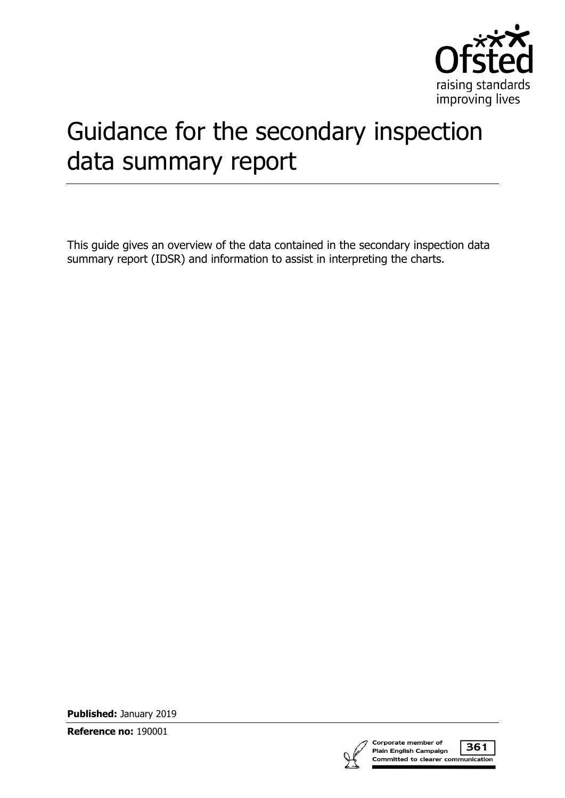

# Guidance for the secondary inspection data summary report

This guide gives an overview of the data contained in the secondary inspection data summary report (IDSR) and information to assist in interpreting the charts.

**Published:** January 2019

**Reference no:** 190001



361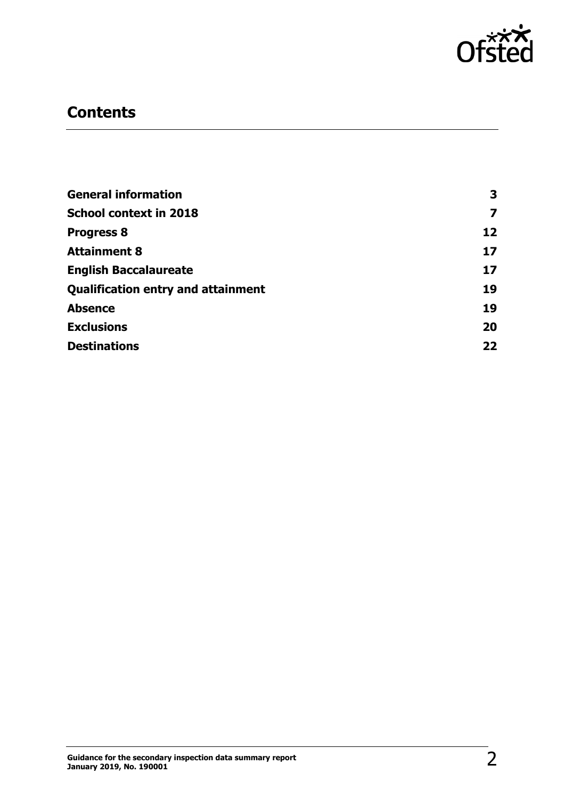

# **Contents**

| <b>General information</b>                | 3  |
|-------------------------------------------|----|
| <b>School context in 2018</b>             | 7  |
| <b>Progress 8</b>                         | 12 |
| <b>Attainment 8</b>                       | 17 |
| <b>English Baccalaureate</b>              | 17 |
| <b>Qualification entry and attainment</b> | 19 |
| <b>Absence</b>                            | 19 |
| <b>Exclusions</b>                         | 20 |
| <b>Destinations</b>                       | 22 |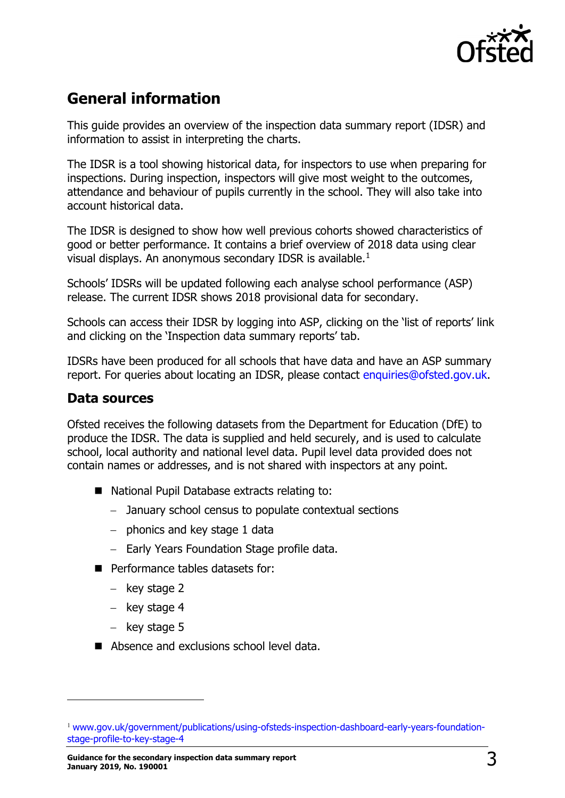

# <span id="page-2-0"></span>**General information**

This guide provides an overview of the inspection data summary report (IDSR) and information to assist in interpreting the charts.

The IDSR is a tool showing historical data, for inspectors to use when preparing for inspections. During inspection, inspectors will give most weight to the outcomes, attendance and behaviour of pupils currently in the school. They will also take into account historical data.

The IDSR is designed to show how well previous cohorts showed characteristics of good or better performance. It contains a brief overview of 2018 data using clear visual displays. An anonymous secondary IDSR is available.<sup>[1](#page-2-1)</sup>

Schools' IDSRs will be updated following each analyse school performance (ASP) release. The current IDSR shows 2018 provisional data for secondary.

Schools can access their IDSR by logging into ASP, clicking on the 'list of reports' link and clicking on the 'Inspection data summary reports' tab.

IDSRs have been produced for all schools that have data and have an ASP summary report. For queries about locating an IDSR, please contact [enquiries@ofsted.gov.uk.](mailto:enquiries@ofsted.gov.uk)

### **Data sources**

Ofsted receives the following datasets from the Department for Education (DfE) to produce the IDSR. The data is supplied and held securely, and is used to calculate school, local authority and national level data. Pupil level data provided does not contain names or addresses, and is not shared with inspectors at any point.

- National Pupil Database extracts relating to:
	- − January school census to populate contextual sections
	- − phonics and key stage 1 data
	- − Early Years Foundation Stage profile data.
- **Performance tables datasets for:** 
	- − key stage 2
	- − key stage 4
	- − key stage 5

ł

Absence and exclusions school level data.

<span id="page-2-1"></span><sup>&</sup>lt;sup>1</sup> [www.gov.uk/government/publications/using-ofsteds-inspection-dashboard-early-years-foundation](http://www.gov.uk/government/publications/using-ofsteds-inspection-dashboard-early-years-foundation-stage-profile-to-key-stage-4)[stage-profile-to-key-stage-4](http://www.gov.uk/government/publications/using-ofsteds-inspection-dashboard-early-years-foundation-stage-profile-to-key-stage-4)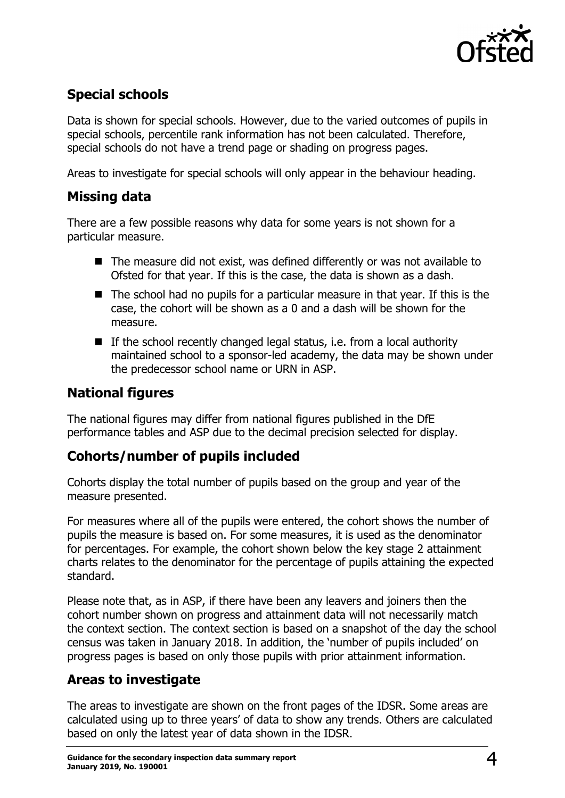

# **Special schools**

Data is shown for special schools. However, due to the varied outcomes of pupils in special schools, percentile rank information has not been calculated. Therefore, special schools do not have a trend page or shading on progress pages.

Areas to investigate for special schools will only appear in the behaviour heading.

### **Missing data**

There are a few possible reasons why data for some years is not shown for a particular measure.

- The measure did not exist, was defined differently or was not available to Ofsted for that year. If this is the case, the data is shown as a dash.
- $\blacksquare$  The school had no pupils for a particular measure in that year. If this is the case, the cohort will be shown as a 0 and a dash will be shown for the measure.
- $\blacksquare$  If the school recently changed legal status, i.e. from a local authority maintained school to a sponsor-led academy, the data may be shown under the predecessor school name or URN in ASP.

# **National figures**

The national figures may differ from national figures published in the DfE performance tables and ASP due to the decimal precision selected for display.

# **Cohorts/number of pupils included**

Cohorts display the total number of pupils based on the group and year of the measure presented.

For measures where all of the pupils were entered, the cohort shows the number of pupils the measure is based on. For some measures, it is used as the denominator for percentages. For example, the cohort shown below the key stage 2 attainment charts relates to the denominator for the percentage of pupils attaining the expected standard.

Please note that, as in ASP, if there have been any leavers and joiners then the cohort number shown on progress and attainment data will not necessarily match the context section. The context section is based on a snapshot of the day the school census was taken in January 2018. In addition, the 'number of pupils included' on progress pages is based on only those pupils with prior attainment information.

# **Areas to investigate**

The areas to investigate are shown on the front pages of the IDSR. Some areas are calculated using up to three years' of data to show any trends. Others are calculated based on only the latest year of data shown in the IDSR.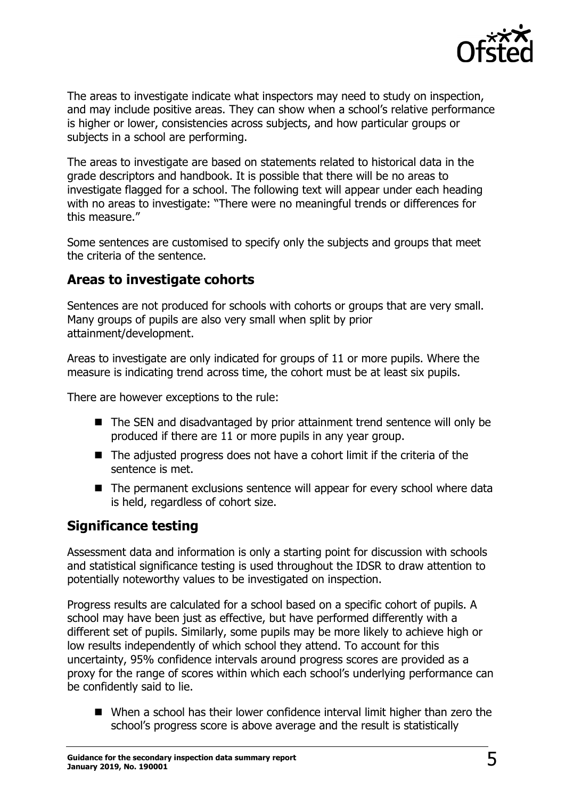

The areas to investigate indicate what inspectors may need to study on inspection, and may include positive areas. They can show when a school's relative performance is higher or lower, consistencies across subjects, and how particular groups or subjects in a school are performing.

The areas to investigate are based on statements related to historical data in the grade descriptors and handbook. It is possible that there will be no areas to investigate flagged for a school. The following text will appear under each heading with no areas to investigate: "There were no meaningful trends or differences for this measure."

Some sentences are customised to specify only the subjects and groups that meet the criteria of the sentence.

### <span id="page-4-0"></span>**Areas to investigate cohorts**

Sentences are not produced for schools with cohorts or groups that are very small. Many groups of pupils are also very small when split by prior attainment/development.

Areas to investigate are only indicated for groups of 11 or more pupils. Where the measure is indicating trend across time, the cohort must be at least six pupils.

There are however exceptions to the rule:

- The SEN and disadvantaged by prior attainment trend sentence will only be produced if there are 11 or more pupils in any year group.
- $\blacksquare$  The adjusted progress does not have a cohort limit if the criteria of the sentence is met.
- The permanent exclusions sentence will appear for every school where data is held, regardless of cohort size.

### **Significance testing**

Assessment data and information is only a starting point for discussion with schools and statistical significance testing is used throughout the IDSR to draw attention to potentially noteworthy values to be investigated on inspection.

Progress results are calculated for a school based on a specific cohort of pupils. A school may have been just as effective, but have performed differently with a different set of pupils. Similarly, some pupils may be more likely to achieve high or low results independently of which school they attend. To account for this uncertainty, 95% confidence intervals around progress scores are provided as a proxy for the range of scores within which each school's underlying performance can be confidently said to lie.

■ When a school has their lower confidence interval limit higher than zero the school's progress score is above average and the result is statistically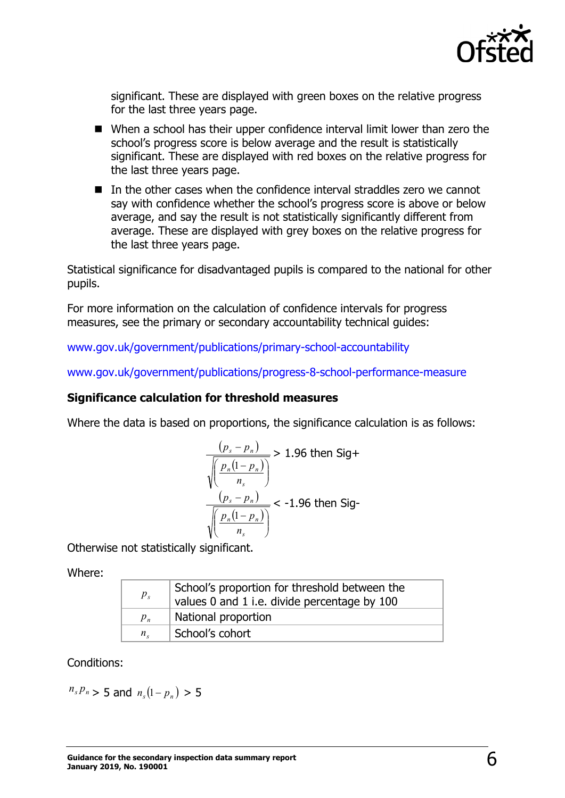

significant. These are displayed with green boxes on the relative progress for the last three years page.

- When a school has their upper confidence interval limit lower than zero the school's progress score is below average and the result is statistically significant. These are displayed with red boxes on the relative progress for the last three years page.
- $\blacksquare$  In the other cases when the confidence interval straddles zero we cannot say with confidence whether the school's progress score is above or below average, and say the result is not statistically significantly different from average. These are displayed with grey boxes on the relative progress for the last three years page.

Statistical significance for disadvantaged pupils is compared to the national for other pupils.

For more information on the calculation of confidence intervals for progress measures, see the primary or secondary accountability technical guides:

[www.gov.uk/government/publications/primary-school-accountability](http://www.gov.uk/government/publications/primary-school-accountability)

[www.gov.uk/government/publications/progress-8-school-performance-measure](http://www.gov.uk/government/publications/progress-8-school-performance-measure)

#### **Significance calculation for threshold measures**

Where the data is based on proportions, the significance calculation is as follows:

$$
\frac{(p_s - p_n)}{\sqrt{\left(\frac{p_n(1-p_n)}{n_s}\right)}} > 1.96 \text{ then } \text{Sig} + \frac{(p_s - p_n)}{\sqrt{\left(\frac{p_n(1-p_n)}{n_s}\right)}} < -1.96 \text{ then } \text{Sig}
$$

Otherwise not statistically significant.

Where:

| $p_{s}$     | School's proportion for threshold between the<br>values 0 and 1 i.e. divide percentage by 100 |
|-------------|-----------------------------------------------------------------------------------------------|
| $p_n$       | National proportion                                                                           |
| $n_{\rm c}$ | School's cohort                                                                               |

#### Conditions:

 $n_s p_n > 5$  and  $n_s (1-p_n) > 5$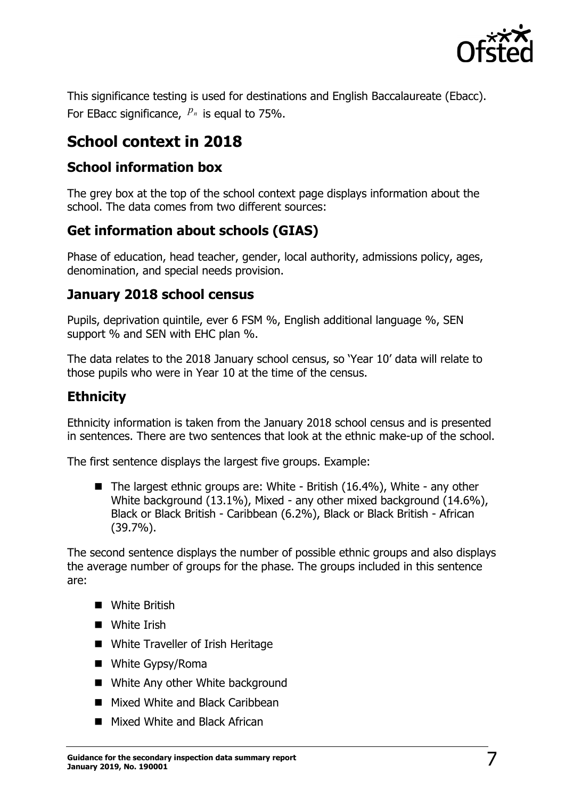

This significance testing is used for destinations and English Baccalaureate (Ebacc). For EBacc significance,  $P_n$  is equal to 75%.

# <span id="page-6-0"></span>**School context in 2018**

# **School information box**

The grey box at the top of the school context page displays information about the school. The data comes from two different sources:

# **Get information about schools (GIAS)**

Phase of education, head teacher, gender, local authority, admissions policy, ages, denomination, and special needs provision.

### **January 2018 school census**

Pupils, deprivation quintile, ever 6 FSM %, English additional language %, SEN support % and SEN with EHC plan %.

The data relates to the 2018 January school census, so 'Year 10' data will relate to those pupils who were in Year 10 at the time of the census.

### **Ethnicity**

Ethnicity information is taken from the January 2018 school census and is presented in sentences. There are two sentences that look at the ethnic make-up of the school.

The first sentence displays the largest five groups. Example:

■ The largest ethnic groups are: White - British (16.4%), White - any other White background (13.1%), Mixed - any other mixed background (14.6%), Black or Black British - Caribbean (6.2%), Black or Black British - African (39.7%).

The second sentence displays the number of possible ethnic groups and also displays the average number of groups for the phase. The groups included in this sentence are:

- White British
- **NH** White Irish
- White Traveller of Irish Heritage
- White Gypsy/Roma
- White Any other White background
- Mixed White and Black Caribbean
- Mixed White and Black African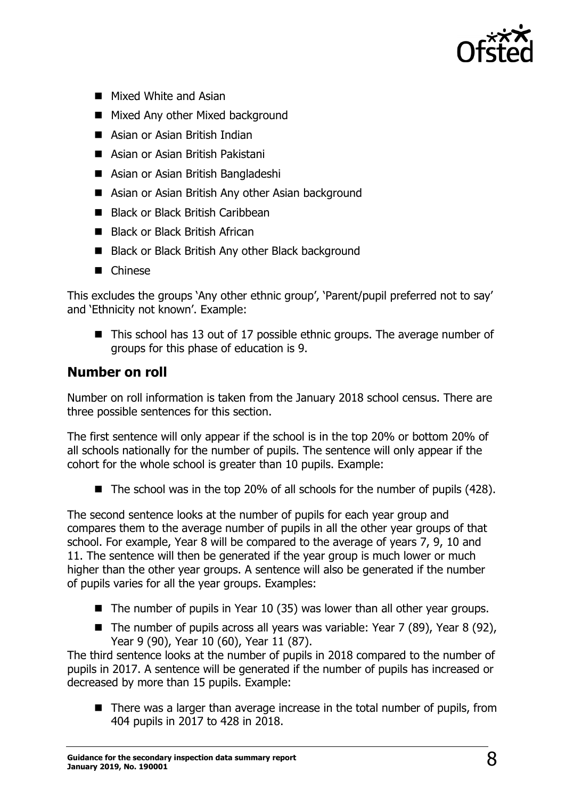

- **Mixed White and Asian**
- **Mixed Any other Mixed background**
- Asian or Asian British Indian
- Asian or Asian British Pakistani
- Asian or Asian British Bangladeshi
- Asian or Asian British Any other Asian background
- Black or Black British Caribbean
- Black or Black British African
- Black or Black British Any other Black background
- **Chinese**

This excludes the groups 'Any other ethnic group', 'Parent/pupil preferred not to say' and 'Ethnicity not known'. Example:

■ This school has 13 out of 17 possible ethnic groups. The average number of groups for this phase of education is 9.

### **Number on roll**

Number on roll information is taken from the January 2018 school census. There are three possible sentences for this section.

The first sentence will only appear if the school is in the top 20% or bottom 20% of all schools nationally for the number of pupils. The sentence will only appear if the cohort for the whole school is greater than 10 pupils. Example:

 $\blacksquare$  The school was in the top 20% of all schools for the number of pupils (428).

The second sentence looks at the number of pupils for each year group and compares them to the average number of pupils in all the other year groups of that school. For example, Year 8 will be compared to the average of years 7, 9, 10 and 11. The sentence will then be generated if the year group is much lower or much higher than the other year groups. A sentence will also be generated if the number of pupils varies for all the year groups. Examples:

- $\blacksquare$  The number of pupils in Year 10 (35) was lower than all other year groups.
- The number of pupils across all years was variable: Year  $7$  (89), Year 8 (92), Year 9 (90), Year 10 (60), Year 11 (87).

The third sentence looks at the number of pupils in 2018 compared to the number of pupils in 2017. A sentence will be generated if the number of pupils has increased or decreased by more than 15 pupils. Example:

■ There was a larger than average increase in the total number of pupils, from 404 pupils in 2017 to 428 in 2018.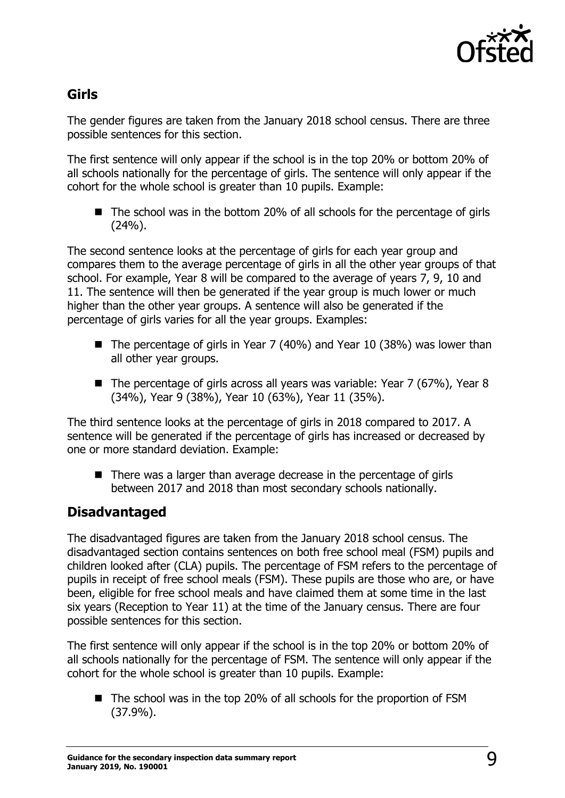

# **Girls**

The gender figures are taken from the January 2018 school census. There are three possible sentences for this section.

The first sentence will only appear if the school is in the top 20% or bottom 20% of all schools nationally for the percentage of girls. The sentence will only appear if the cohort for the whole school is greater than 10 pupils. Example:

■ The school was in the bottom 20% of all schools for the percentage of girls  $(24%).$ 

The second sentence looks at the percentage of girls for each year group and compares them to the average percentage of girls in all the other year groups of that school. For example, Year 8 will be compared to the average of years 7, 9, 10 and 11. The sentence will then be generated if the year group is much lower or much higher than the other year groups. A sentence will also be generated if the percentage of girls varies for all the year groups. Examples:

- The percentage of girls in Year 7 (40%) and Year 10 (38%) was lower than all other year groups.
- The percentage of girls across all years was variable: Year 7 (67%), Year 8 (34%), Year 9 (38%), Year 10 (63%), Year 11 (35%).

The third sentence looks at the percentage of girls in 2018 compared to 2017. A sentence will be generated if the percentage of girls has increased or decreased by one or more standard deviation. Example:

 $\blacksquare$  There was a larger than average decrease in the percentage of girls between 2017 and 2018 than most secondary schools nationally.

# **Disadvantaged**

The disadvantaged figures are taken from the January 2018 school census. The disadvantaged section contains sentences on both free school meal (FSM) pupils and children looked after (CLA) pupils. The percentage of FSM refers to the percentage of pupils in receipt of free school meals (FSM). These pupils are those who are, or have been, eligible for free school meals and have claimed them at some time in the last six years (Reception to Year 11) at the time of the January census. There are four possible sentences for this section.

The first sentence will only appear if the school is in the top 20% or bottom 20% of all schools nationally for the percentage of FSM. The sentence will only appear if the cohort for the whole school is greater than 10 pupils. Example:

■ The school was in the top 20% of all schools for the proportion of FSM (37.9%).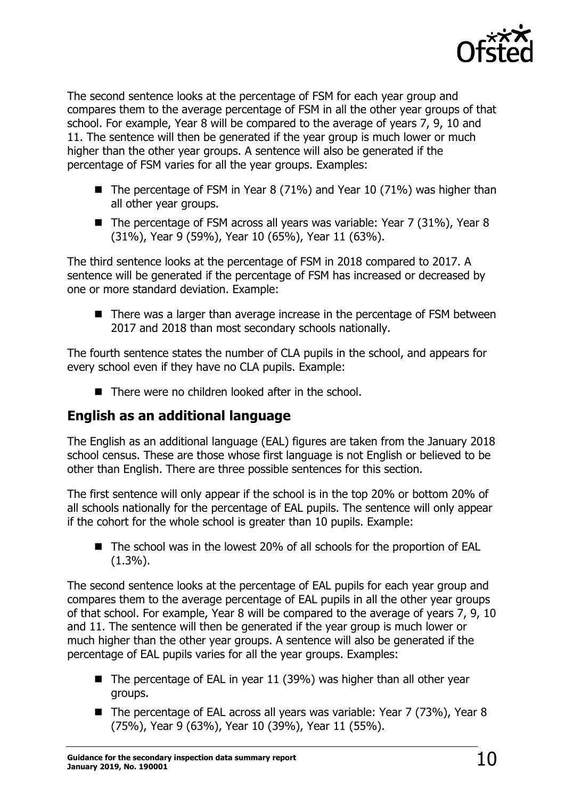

The second sentence looks at the percentage of FSM for each year group and compares them to the average percentage of FSM in all the other year groups of that school. For example, Year 8 will be compared to the average of years 7, 9, 10 and 11. The sentence will then be generated if the year group is much lower or much higher than the other year groups. A sentence will also be generated if the percentage of FSM varies for all the year groups. Examples:

- $\blacksquare$  The percentage of FSM in Year 8 (71%) and Year 10 (71%) was higher than all other year groups.
- The percentage of FSM across all years was variable: Year 7 (31%), Year 8 (31%), Year 9 (59%), Year 10 (65%), Year 11 (63%).

The third sentence looks at the percentage of FSM in 2018 compared to 2017. A sentence will be generated if the percentage of FSM has increased or decreased by one or more standard deviation. Example:

■ There was a larger than average increase in the percentage of FSM between 2017 and 2018 than most secondary schools nationally.

The fourth sentence states the number of CLA pupils in the school, and appears for every school even if they have no CLA pupils. Example:

■ There were no children looked after in the school.

### **English as an additional language**

The English as an additional language (EAL) figures are taken from the January 2018 school census. These are those whose first language is not English or believed to be other than English. There are three possible sentences for this section.

The first sentence will only appear if the school is in the top 20% or bottom 20% of all schools nationally for the percentage of EAL pupils. The sentence will only appear if the cohort for the whole school is greater than 10 pupils. Example:

■ The school was in the lowest 20% of all schools for the proportion of EAL (1.3%).

The second sentence looks at the percentage of EAL pupils for each year group and compares them to the average percentage of EAL pupils in all the other year groups of that school. For example, Year 8 will be compared to the average of years 7, 9, 10 and 11. The sentence will then be generated if the year group is much lower or much higher than the other year groups. A sentence will also be generated if the percentage of EAL pupils varies for all the year groups. Examples:

- $\blacksquare$  The percentage of EAL in year 11 (39%) was higher than all other year groups.
- The percentage of EAL across all years was variable: Year 7 (73%), Year 8 (75%), Year 9 (63%), Year 10 (39%), Year 11 (55%).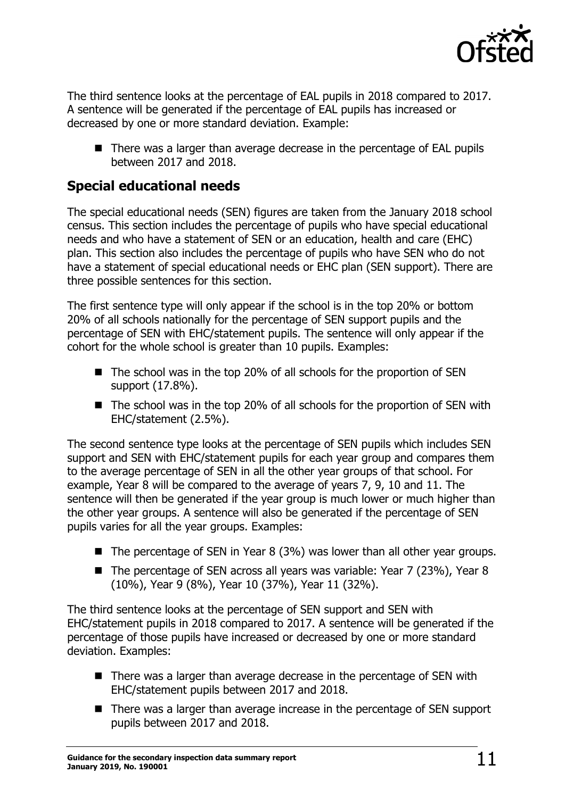

The third sentence looks at the percentage of EAL pupils in 2018 compared to 2017. A sentence will be generated if the percentage of EAL pupils has increased or decreased by one or more standard deviation. Example:

■ There was a larger than average decrease in the percentage of EAL pupils between 2017 and 2018.

### **Special educational needs**

The special educational needs (SEN) figures are taken from the January 2018 school census. This section includes the percentage of pupils who have special educational needs and who have a statement of SEN or an education, health and care (EHC) plan. This section also includes the percentage of pupils who have SEN who do not have a statement of special educational needs or EHC plan (SEN support). There are three possible sentences for this section.

The first sentence type will only appear if the school is in the top 20% or bottom 20% of all schools nationally for the percentage of SEN support pupils and the percentage of SEN with EHC/statement pupils. The sentence will only appear if the cohort for the whole school is greater than 10 pupils. Examples:

- The school was in the top 20% of all schools for the proportion of SEN support (17.8%).
- The school was in the top 20% of all schools for the proportion of SEN with EHC/statement (2.5%).

The second sentence type looks at the percentage of SEN pupils which includes SEN support and SEN with EHC/statement pupils for each year group and compares them to the average percentage of SEN in all the other year groups of that school. For example, Year 8 will be compared to the average of years 7, 9, 10 and 11. The sentence will then be generated if the year group is much lower or much higher than the other year groups. A sentence will also be generated if the percentage of SEN pupils varies for all the year groups. Examples:

- The percentage of SEN in Year 8 (3%) was lower than all other year groups.
- The percentage of SEN across all years was variable: Year 7 (23%), Year 8 (10%), Year 9 (8%), Year 10 (37%), Year 11 (32%).

The third sentence looks at the percentage of SEN support and SEN with EHC/statement pupils in 2018 compared to 2017. A sentence will be generated if the percentage of those pupils have increased or decreased by one or more standard deviation. Examples:

- $\blacksquare$  There was a larger than average decrease in the percentage of SEN with EHC/statement pupils between 2017 and 2018.
- There was a larger than average increase in the percentage of SEN support pupils between 2017 and 2018.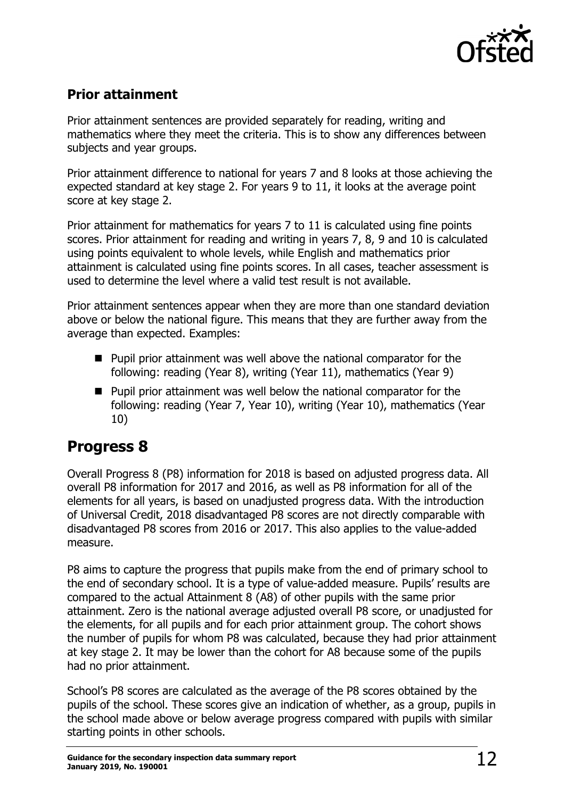

# **Prior attainment**

Prior attainment sentences are provided separately for reading, writing and mathematics where they meet the criteria. This is to show any differences between subjects and year groups.

Prior attainment difference to national for years 7 and 8 looks at those achieving the expected standard at key stage 2. For years 9 to 11, it looks at the average point score at key stage 2.

Prior attainment for mathematics for years 7 to 11 is calculated using fine points scores. Prior attainment for reading and writing in years 7, 8, 9 and 10 is calculated using points equivalent to whole levels, while English and mathematics prior attainment is calculated using fine points scores. In all cases, teacher assessment is used to determine the level where a valid test result is not available.

Prior attainment sentences appear when they are more than one standard deviation above or below the national figure. This means that they are further away from the average than expected. Examples:

- **Pupil prior attainment was well above the national comparator for the** following: reading (Year 8), writing (Year 11), mathematics (Year 9)
- $\blacksquare$  Pupil prior attainment was well below the national comparator for the following: reading (Year 7, Year 10), writing (Year 10), mathematics (Year 10)

# <span id="page-11-0"></span>**Progress 8**

Overall Progress 8 (P8) information for 2018 is based on adjusted progress data. All overall P8 information for 2017 and 2016, as well as P8 information for all of the elements for all years, is based on unadjusted progress data. With the introduction of Universal Credit, 2018 disadvantaged P8 scores are not directly comparable with disadvantaged P8 scores from 2016 or 2017. This also applies to the value-added measure.

P8 aims to capture the progress that pupils make from the end of primary school to the end of secondary school. It is a type of value-added measure. Pupils' results are compared to the actual Attainment 8 (A8) of other pupils with the same prior attainment. Zero is the national average adjusted overall P8 score, or unadjusted for the elements, for all pupils and for each prior attainment group. The cohort shows the number of pupils for whom P8 was calculated, because they had prior attainment at key stage 2. It may be lower than the cohort for A8 because some of the pupils had no prior attainment.

School's P8 scores are calculated as the average of the P8 scores obtained by the pupils of the school. These scores give an indication of whether, as a group, pupils in the school made above or below average progress compared with pupils with similar starting points in other schools.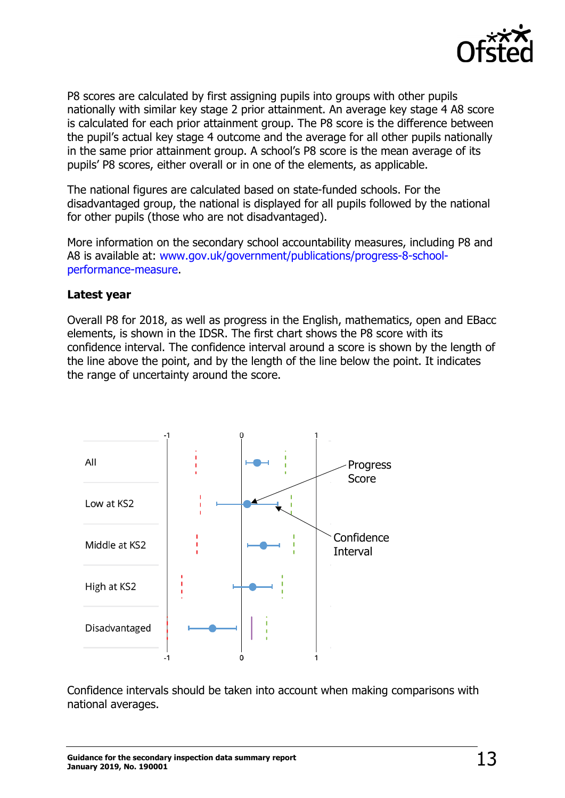

P8 scores are calculated by first assigning pupils into groups with other pupils nationally with similar key stage 2 prior attainment. An average key stage 4 A8 score is calculated for each prior attainment group. The P8 score is the difference between the pupil's actual key stage 4 outcome and the average for all other pupils nationally in the same prior attainment group. A school's P8 score is the mean average of its pupils' P8 scores, either overall or in one of the elements, as applicable.

The national figures are calculated based on state-funded schools. For the disadvantaged group, the national is displayed for all pupils followed by the national for other pupils (those who are not disadvantaged).

More information on the secondary school accountability measures, including P8 and A8 is available at: [www.gov.uk/government/publications/progress-8-school](http://www.gov.uk/government/publications/progress-8-school-performance-measure)[performance-measure.](http://www.gov.uk/government/publications/progress-8-school-performance-measure)

#### **Latest year**

Overall P8 for 2018, as well as progress in the English, mathematics, open and EBacc elements, is shown in the IDSR. The first chart shows the P8 score with its confidence interval. The confidence interval around a score is shown by the length of the line above the point, and by the length of the line below the point. It indicates the range of uncertainty around the score.



Confidence intervals should be taken into account when making comparisons with national averages.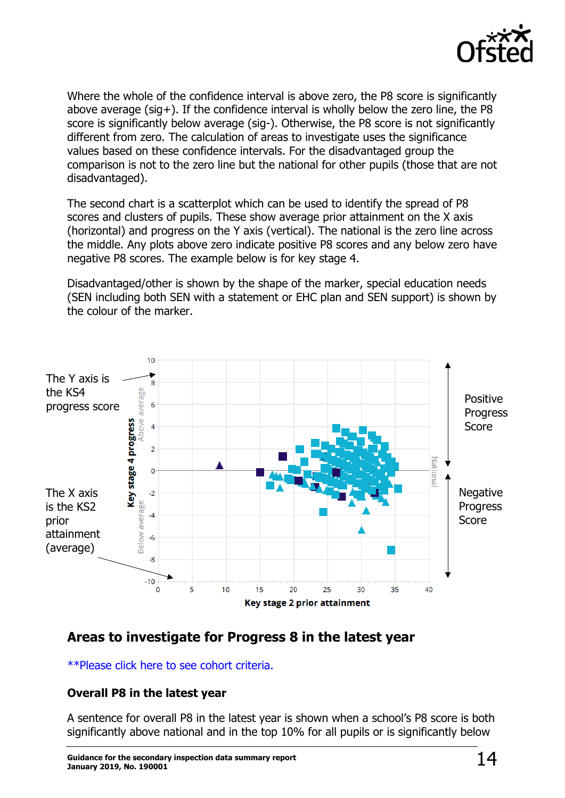

Where the whole of the confidence interval is above zero, the P8 score is significantly above average ( $\sin$ ). If the confidence interval is wholly below the zero line, the P8 score is significantly below average (sig-). Otherwise, the P8 score is not significantly different from zero. The calculation of areas to investigate uses the significance values based on these confidence intervals. For the disadvantaged group the comparison is not to the zero line but the national for other pupils (those that are not disadvantaged).

The second chart is a scatterplot which can be used to identify the spread of P8 scores and clusters of pupils. These show average prior attainment on the X axis (horizontal) and progress on the Y axis (vertical). The national is the zero line across the middle. Any plots above zero indicate positive P8 scores and any below zero have negative P8 scores. The example below is for key stage 4.

Disadvantaged/other is shown by the shape of the marker, special education needs (SEN including both SEN with a statement or EHC plan and SEN support) is shown by the colour of the marker.



# **Areas to investigate for Progress 8 in the latest year**

#### [\\*\\*Please click here to see cohort criteria.](#page-4-0)

#### **Overall P8 in the latest year**

A sentence for overall P8 in the latest year is shown when a school's P8 score is both significantly above national and in the top 10% for all pupils or is significantly below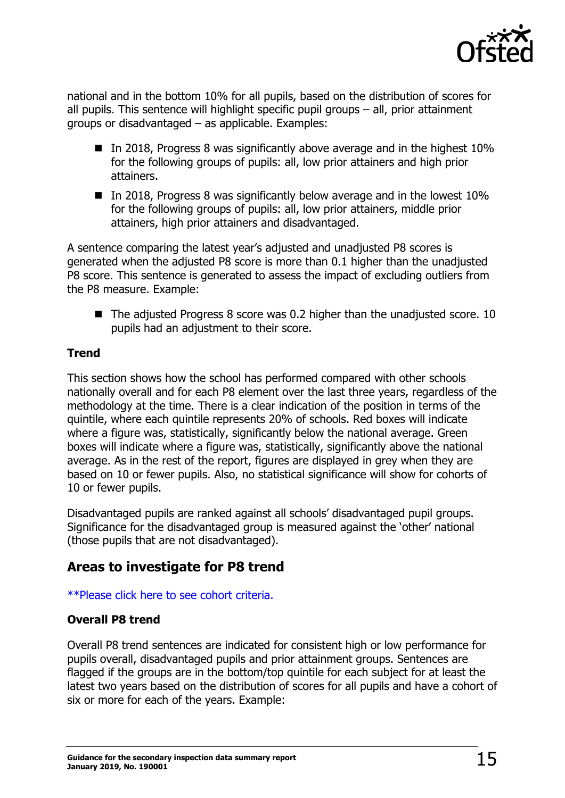

national and in the bottom 10% for all pupils, based on the distribution of scores for all pupils. This sentence will highlight specific pupil groups – all, prior attainment groups or disadvantaged – as applicable. Examples:

- In 2018, Progress 8 was significantly above average and in the highest  $10\%$ for the following groups of pupils: all, low prior attainers and high prior attainers.
- In 2018, Progress 8 was significantly below average and in the lowest  $10\%$ for the following groups of pupils: all, low prior attainers, middle prior attainers, high prior attainers and disadvantaged.

A sentence comparing the latest year's adjusted and unadjusted P8 scores is generated when the adjusted P8 score is more than 0.1 higher than the unadjusted P8 score. This sentence is generated to assess the impact of excluding outliers from the P8 measure. Example:

 $\blacksquare$  The adjusted Progress 8 score was 0.2 higher than the unadjusted score. 10 pupils had an adjustment to their score.

#### **Trend**

This section shows how the school has performed compared with other schools nationally overall and for each P8 element over the last three years, regardless of the methodology at the time. There is a clear indication of the position in terms of the quintile, where each quintile represents 20% of schools. Red boxes will indicate where a figure was, statistically, significantly below the national average. Green boxes will indicate where a figure was, statistically, significantly above the national average. As in the rest of the report, figures are displayed in grey when they are based on 10 or fewer pupils. Also, no statistical significance will show for cohorts of 10 or fewer pupils.

Disadvantaged pupils are ranked against all schools' disadvantaged pupil groups. Significance for the disadvantaged group is measured against the 'other' national (those pupils that are not disadvantaged).

### **Areas to investigate for P8 trend**

#### [\\*\\*Please click here to see cohort criteria.](#page-4-0)

#### **Overall P8 trend**

Overall P8 trend sentences are indicated for consistent high or low performance for pupils overall, disadvantaged pupils and prior attainment groups. Sentences are flagged if the groups are in the bottom/top quintile for each subject for at least the latest two years based on the distribution of scores for all pupils and have a cohort of six or more for each of the years. Example: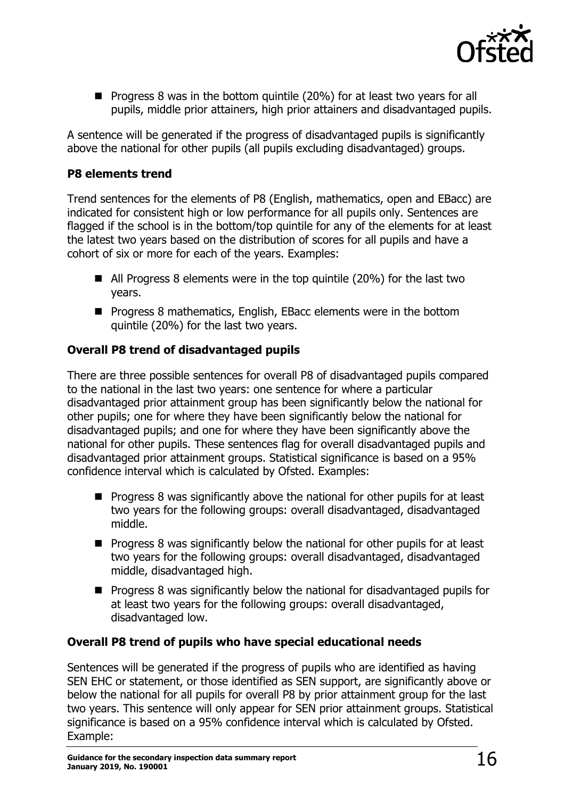

**Progress 8 was in the bottom quintile (20%) for at least two years for all** pupils, middle prior attainers, high prior attainers and disadvantaged pupils.

A sentence will be generated if the progress of disadvantaged pupils is significantly above the national for other pupils (all pupils excluding disadvantaged) groups.

#### **P8 elements trend**

Trend sentences for the elements of P8 (English, mathematics, open and EBacc) are indicated for consistent high or low performance for all pupils only. Sentences are flagged if the school is in the bottom/top quintile for any of the elements for at least the latest two years based on the distribution of scores for all pupils and have a cohort of six or more for each of the years. Examples:

- $\blacksquare$  All Progress 8 elements were in the top quintile (20%) for the last two years.
- **Progress 8 mathematics, English, EBacc elements were in the bottom** quintile (20%) for the last two years.

#### **Overall P8 trend of disadvantaged pupils**

There are three possible sentences for overall P8 of disadvantaged pupils compared to the national in the last two years: one sentence for where a particular disadvantaged prior attainment group has been significantly below the national for other pupils; one for where they have been significantly below the national for disadvantaged pupils; and one for where they have been significantly above the national for other pupils. These sentences flag for overall disadvantaged pupils and disadvantaged prior attainment groups. Statistical significance is based on a 95% confidence interval which is calculated by Ofsted. Examples:

- **Progress 8 was significantly above the national for other pupils for at least** two years for the following groups: overall disadvantaged, disadvantaged middle.
- **Progress 8 was significantly below the national for other pupils for at least** two years for the following groups: overall disadvantaged, disadvantaged middle, disadvantaged high.
- **Progress 8 was significantly below the national for disadvantaged pupils for** at least two years for the following groups: overall disadvantaged, disadvantaged low.

#### **Overall P8 trend of pupils who have special educational needs**

Sentences will be generated if the progress of pupils who are identified as having SEN EHC or statement, or those identified as SEN support, are significantly above or below the national for all pupils for overall P8 by prior attainment group for the last two years. This sentence will only appear for SEN prior attainment groups. Statistical significance is based on a 95% confidence interval which is calculated by Ofsted. Example: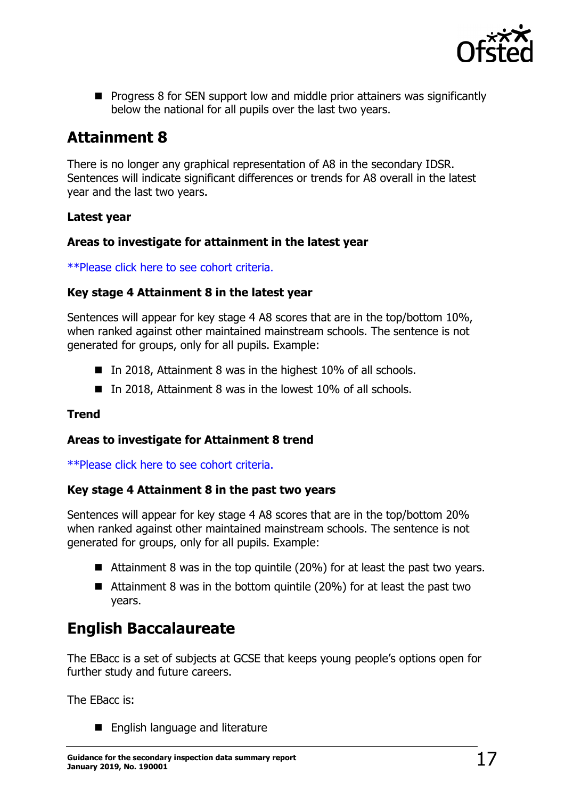

**Progress 8 for SEN support low and middle prior attainers was significantly** below the national for all pupils over the last two years.

# <span id="page-16-0"></span>**Attainment 8**

There is no longer any graphical representation of A8 in the secondary IDSR. Sentences will indicate significant differences or trends for A8 overall in the latest year and the last two years.

#### **Latest year**

#### **Areas to investigate for attainment in the latest year**

[\\*\\*Please click here to see cohort criteria.](#page-4-0)

#### **Key stage 4 Attainment 8 in the latest year**

Sentences will appear for key stage 4 A8 scores that are in the top/bottom 10%, when ranked against other maintained mainstream schools. The sentence is not generated for groups, only for all pupils. Example:

- In 2018, Attainment 8 was in the highest 10% of all schools.
- In 2018, Attainment 8 was in the lowest 10% of all schools.

#### **Trend**

#### **Areas to investigate for Attainment 8 trend**

[\\*\\*Please click here to see cohort criteria.](#page-4-0)

#### **Key stage 4 Attainment 8 in the past two years**

Sentences will appear for key stage 4 A8 scores that are in the top/bottom 20% when ranked against other maintained mainstream schools. The sentence is not generated for groups, only for all pupils. Example:

- Attainment 8 was in the top quintile (20%) for at least the past two years.
- Attainment 8 was in the bottom quintile  $(20%)$  for at least the past two years.

# <span id="page-16-1"></span>**English Baccalaureate**

The EBacc is a set of subjects at GCSE that keeps young people's options open for further study and future careers.

The EBacc is:

■ English language and literature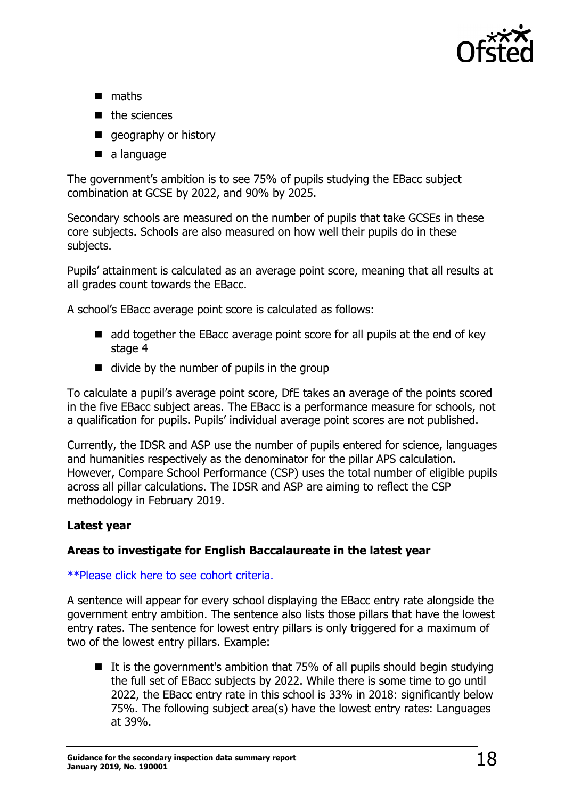

- **n** maths
- $\blacksquare$  the sciences
- **qeography or history**
- a language

The government's ambition is to see 75% of pupils studying the EBacc subject combination at GCSE by 2022, and 90% by 2025.

Secondary schools are measured on the number of pupils that take GCSEs in these core subjects. Schools are also measured on how well their pupils do in these subjects.

Pupils' attainment is calculated as an average point score, meaning that all results at all grades count towards the EBacc.

A school's EBacc average point score is calculated as follows:

- add together the EBacc average point score for all pupils at the end of key stage 4
- $\blacksquare$  divide by the number of pupils in the group

To calculate a pupil's average point score, DfE takes an average of the points scored in the five EBacc subject areas. The EBacc is a performance measure for schools, not a qualification for pupils. Pupils' individual average point scores are not published.

Currently, the IDSR and ASP use the number of pupils entered for science, languages and humanities respectively as the denominator for the pillar APS calculation. However, Compare School Performance (CSP) uses the total number of eligible pupils across all pillar calculations. The IDSR and ASP are aiming to reflect the CSP methodology in February 2019.

#### **Latest year**

#### **Areas to investigate for English Baccalaureate in the latest year**

#### [\\*\\*Please click here to see cohort criteria.](#page-4-0)

A sentence will appear for every school displaying the EBacc entry rate alongside the government entry ambition. The sentence also lists those pillars that have the lowest entry rates. The sentence for lowest entry pillars is only triggered for a maximum of two of the lowest entry pillars. Example:

It is the government's ambition that  $75%$  of all pupils should begin studying the full set of EBacc subjects by 2022. While there is some time to go until 2022, the EBacc entry rate in this school is 33% in 2018: significantly below 75%. The following subject area(s) have the lowest entry rates: Languages at 39%.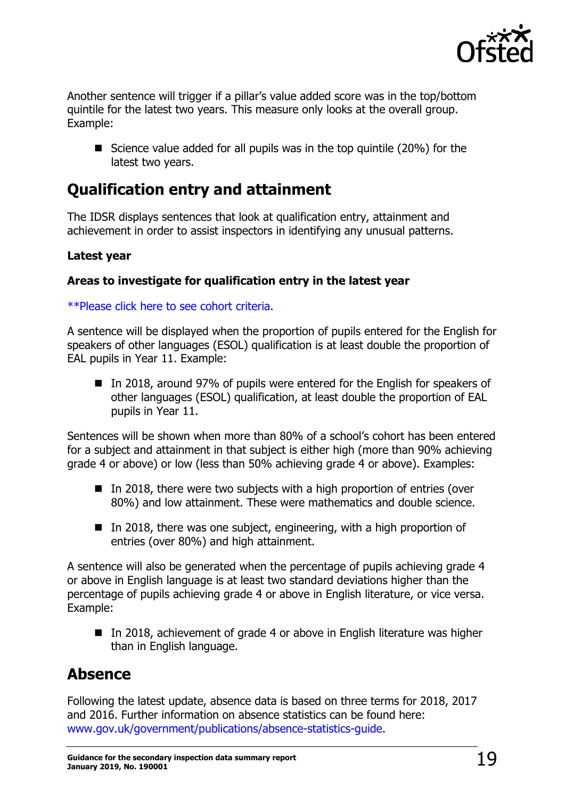

Another sentence will trigger if a pillar's value added score was in the top/bottom quintile for the latest two years. This measure only looks at the overall group. Example:

Science value added for all pupils was in the top quintile  $(20%)$  for the latest two years.

# <span id="page-18-0"></span>**Qualification entry and attainment**

The IDSR displays sentences that look at qualification entry, attainment and achievement in order to assist inspectors in identifying any unusual patterns.

#### **Latest year**

#### **Areas to investigate for qualification entry in the latest year**

[\\*\\*Please click here to see cohort criteria.](#page-4-0)

A sentence will be displayed when the proportion of pupils entered for the English for speakers of other languages (ESOL) qualification is at least double the proportion of EAL pupils in Year 11. Example:

■ In 2018, around 97% of pupils were entered for the English for speakers of other languages (ESOL) qualification, at least double the proportion of EAL pupils in Year 11.

Sentences will be shown when more than 80% of a school's cohort has been entered for a subject and attainment in that subject is either high (more than 90% achieving grade 4 or above) or low (less than 50% achieving grade 4 or above). Examples:

- $\blacksquare$  In 2018, there were two subjects with a high proportion of entries (over 80%) and low attainment. These were mathematics and double science.
- $\blacksquare$  In 2018, there was one subject, engineering, with a high proportion of entries (over 80%) and high attainment.

A sentence will also be generated when the percentage of pupils achieving grade 4 or above in English language is at least two standard deviations higher than the percentage of pupils achieving grade 4 or above in English literature, or vice versa. Example:

■ In 2018, achievement of grade 4 or above in English literature was higher than in English language.

# <span id="page-18-1"></span>**Absence**

Following the latest update, absence data is based on three terms for 2018, 2017 and 2016. Further information on absence statistics can be found here: [www.gov.uk/government/publications/absence-statistics-guide.](https://emea01.safelinks.protection.outlook.com/?url=http%3A%2F%2Fwww.gov.uk%2Fgovernment%2Fpublications%2Fabsence-statistics-guide&data=02%7C01%7C%7C6ec331272ed74b57f37308d671a2d052%7Ca708279dde884b62956085a6be8c08cc%7C0%7C0%7C636821341414422541&sdata=Qp6buHRNSdnzqIjppMvKWXrghrXL4LujYXIHreTlItw%3D&reserved=0)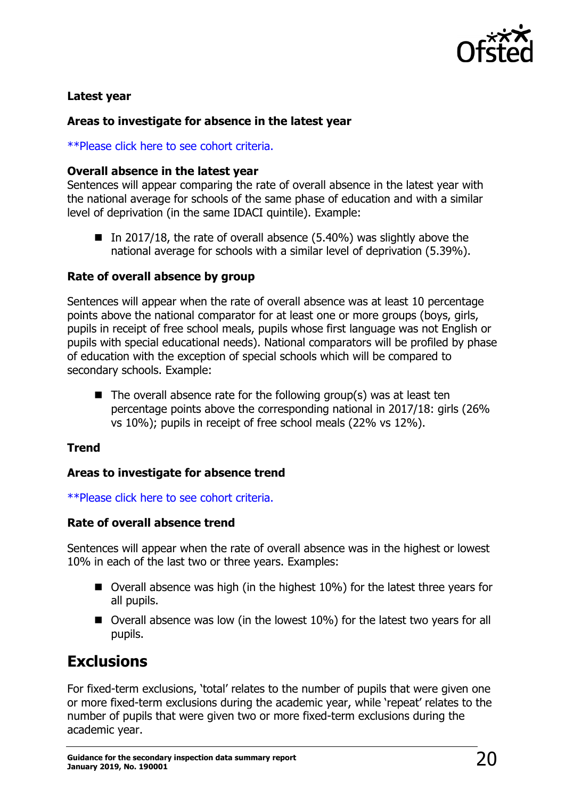

#### **Latest year**

#### **Areas to investigate for absence in the latest year**

[\\*\\*Please click here to see cohort criteria.](#page-4-0)

#### **Overall absence in the latest year**

Sentences will appear comparing the rate of overall absence in the latest year with the national average for schools of the same phase of education and with a similar level of deprivation (in the same IDACI quintile). Example:

In 2017/18, the rate of overall absence  $(5.40\%)$  was slightly above the national average for schools with a similar level of deprivation (5.39%).

#### **Rate of overall absence by group**

Sentences will appear when the rate of overall absence was at least 10 percentage points above the national comparator for at least one or more groups (boys, girls, pupils in receipt of free school meals, pupils whose first language was not English or pupils with special educational needs). National comparators will be profiled by phase of education with the exception of special schools which will be compared to secondary schools. Example:

 $\blacksquare$  The overall absence rate for the following group(s) was at least ten percentage points above the corresponding national in 2017/18: girls (26% vs 10%); pupils in receipt of free school meals (22% vs 12%).

#### **Trend**

#### **Areas to investigate for absence trend**

[\\*\\*Please click here to see cohort criteria.](#page-4-0)

#### **Rate of overall absence trend**

Sentences will appear when the rate of overall absence was in the highest or lowest 10% in each of the last two or three years. Examples:

- Overall absence was high (in the highest 10%) for the latest three years for all pupils.
- Overall absence was low (in the lowest 10%) for the latest two years for all pupils.

# <span id="page-19-0"></span>**Exclusions**

For fixed-term exclusions, 'total' relates to the number of pupils that were given one or more fixed-term exclusions during the academic year, while 'repeat' relates to the number of pupils that were given two or more fixed-term exclusions during the academic year.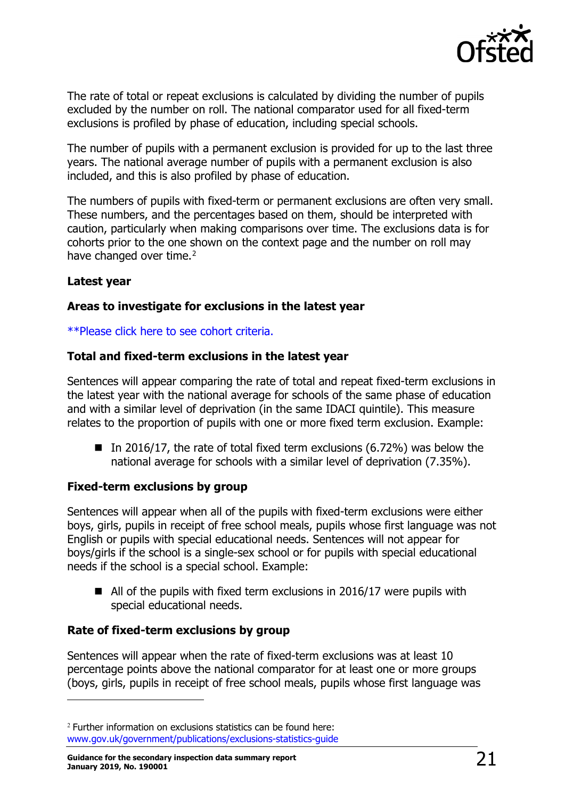

The rate of total or repeat exclusions is calculated by dividing the number of pupils excluded by the number on roll. The national comparator used for all fixed-term exclusions is profiled by phase of education, including special schools.

The number of pupils with a permanent exclusion is provided for up to the last three years. The national average number of pupils with a permanent exclusion is also included, and this is also profiled by phase of education.

The numbers of pupils with fixed-term or permanent exclusions are often very small. These numbers, and the percentages based on them, should be interpreted with caution, particularly when making comparisons over time. The exclusions data is for cohorts prior to the one shown on the context page and the number on roll may have changed over time.<sup>[2](#page-20-0)</sup>

#### **Latest year**

ł

#### **Areas to investigate for exclusions in the latest year**

[\\*\\*Please click here to see cohort criteria.](#page-4-0)

#### **Total and fixed-term exclusions in the latest year**

Sentences will appear comparing the rate of total and repeat fixed-term exclusions in the latest year with the national average for schools of the same phase of education and with a similar level of deprivation (in the same IDACI quintile). This measure relates to the proportion of pupils with one or more fixed term exclusion. Example:

In 2016/17, the rate of total fixed term exclusions  $(6.72\%)$  was below the national average for schools with a similar level of deprivation (7.35%).

#### **Fixed-term exclusions by group**

Sentences will appear when all of the pupils with fixed-term exclusions were either boys, girls, pupils in receipt of free school meals, pupils whose first language was not English or pupils with special educational needs. Sentences will not appear for boys/girls if the school is a single-sex school or for pupils with special educational needs if the school is a special school. Example:

 $\blacksquare$  All of the pupils with fixed term exclusions in 2016/17 were pupils with special educational needs.

#### **Rate of fixed-term exclusions by group**

Sentences will appear when the rate of fixed-term exclusions was at least 10 percentage points above the national comparator for at least one or more groups (boys, girls, pupils in receipt of free school meals, pupils whose first language was

<span id="page-20-0"></span> $2$  Further information on exclusions statistics can be found here: [www.gov.uk/government/publications/exclusions-statistics-guide](http://www.gov.uk/government/publications/exclusions-statistics-guide)

Guidance for the secondary inspection data summary report  $21$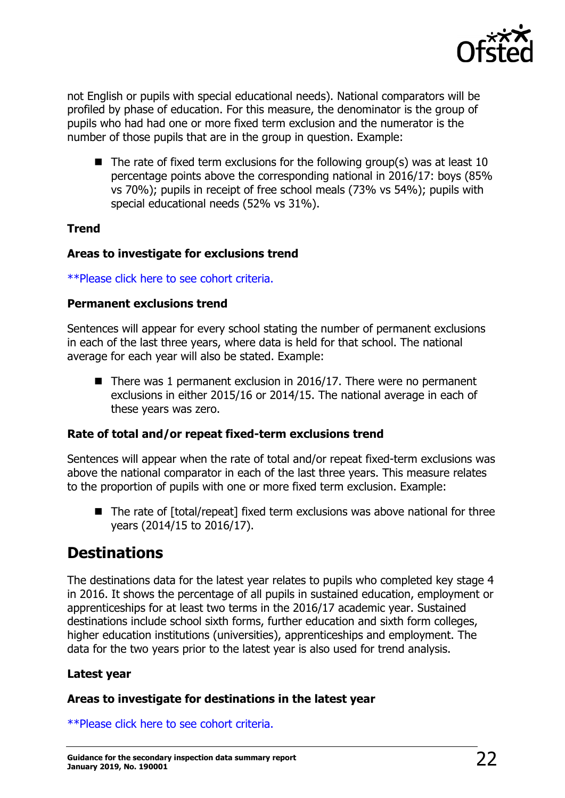

not English or pupils with special educational needs). National comparators will be profiled by phase of education. For this measure, the denominator is the group of pupils who had had one or more fixed term exclusion and the numerator is the number of those pupils that are in the group in question. Example:

 $\blacksquare$  The rate of fixed term exclusions for the following group(s) was at least 10 percentage points above the corresponding national in 2016/17: boys (85% vs 70%); pupils in receipt of free school meals (73% vs 54%); pupils with special educational needs (52% vs 31%).

#### **Trend**

#### **Areas to investigate for exclusions trend**

#### [\\*\\*Please click here to see cohort criteria.](#page-4-0)

#### **Permanent exclusions trend**

Sentences will appear for every school stating the number of permanent exclusions in each of the last three years, where data is held for that school. The national average for each year will also be stated. Example:

 $\blacksquare$  There was 1 permanent exclusion in 2016/17. There were no permanent exclusions in either 2015/16 or 2014/15. The national average in each of these years was zero.

#### **Rate of total and/or repeat fixed-term exclusions trend**

Sentences will appear when the rate of total and/or repeat fixed-term exclusions was above the national comparator in each of the last three years. This measure relates to the proportion of pupils with one or more fixed term exclusion. Example:

■ The rate of [total/repeat] fixed term exclusions was above national for three years (2014/15 to 2016/17).

# <span id="page-21-0"></span>**Destinations**

The destinations data for the latest year relates to pupils who completed key stage 4 in 2016. It shows the percentage of all pupils in sustained education, employment or apprenticeships for at least two terms in the 2016/17 academic year. Sustained destinations include school sixth forms, further education and sixth form colleges, higher education institutions (universities), apprenticeships and employment. The data for the two years prior to the latest year is also used for trend analysis.

#### **Latest year**

#### **Areas to investigate for destinations in the latest year**

[\\*\\*Please click here to see cohort criteria.](#page-4-0)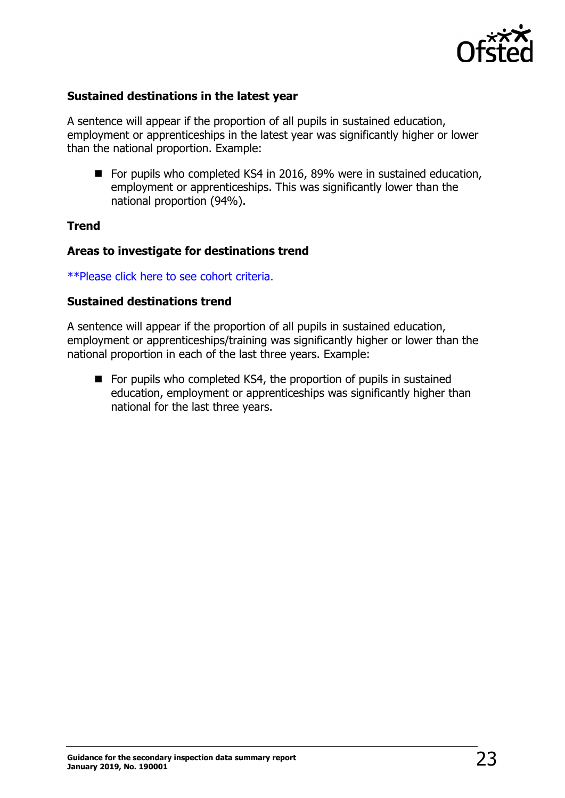

#### **Sustained destinations in the latest year**

A sentence will appear if the proportion of all pupils in sustained education, employment or apprenticeships in the latest year was significantly higher or lower than the national proportion. Example:

For pupils who completed KS4 in 2016, 89% were in sustained education, employment or apprenticeships. This was significantly lower than the national proportion (94%).

#### **Trend**

#### **Areas to investigate for destinations trend**

[\\*\\*Please click here to see cohort criteria.](#page-4-0)

#### **Sustained destinations trend**

A sentence will appear if the proportion of all pupils in sustained education, employment or apprenticeships/training was significantly higher or lower than the national proportion in each of the last three years. Example:

 $\blacksquare$  For pupils who completed KS4, the proportion of pupils in sustained education, employment or apprenticeships was significantly higher than national for the last three years.